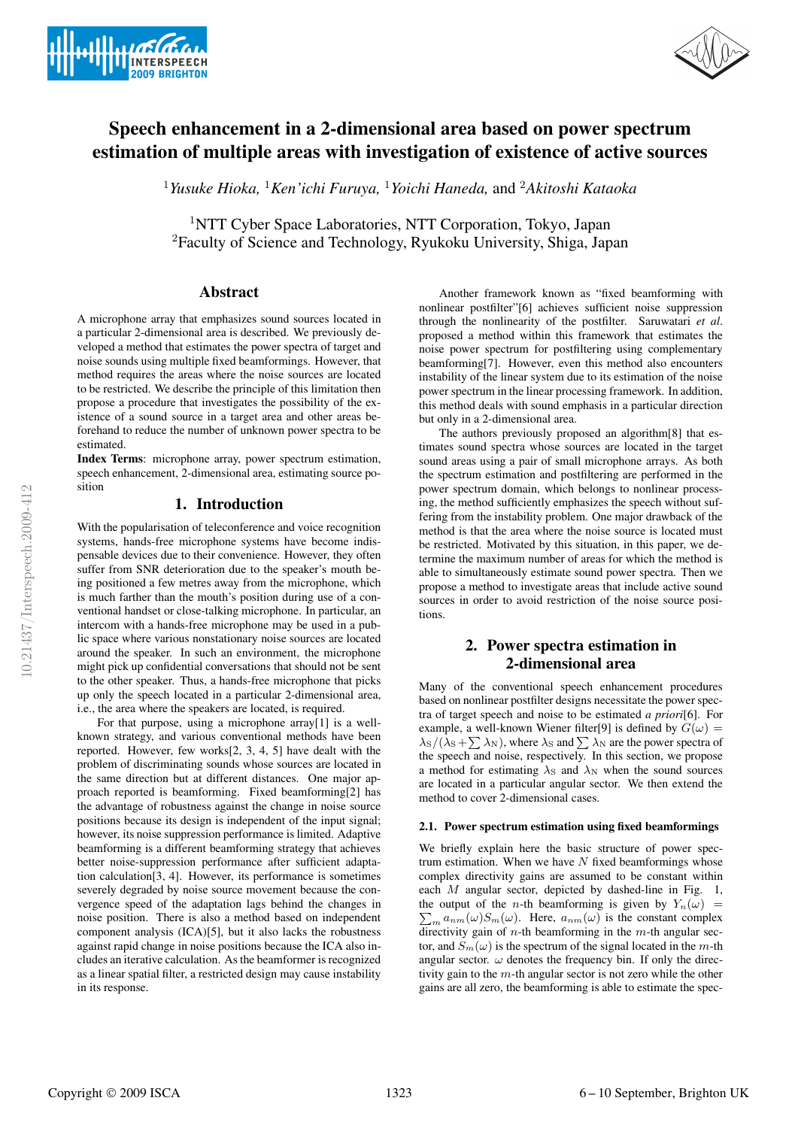



# Speech enhancement in a 2-dimensional area based on power spectrum estimation of multiple areas with investigation of existence of active sources

<sup>1</sup>*Yusuke Hioka,* <sup>1</sup>*Ken'ichi Furuya,* <sup>1</sup>*Yoichi Haneda,* and <sup>2</sup>*Akitoshi Kataoka*

<sup>1</sup>NTT Cyber Space Laboratories, NTT Corporation, Tokyo, Japan <sup>2</sup>Faculty of Science and Technology, Ryukoku University, Shiga, Japan

## Abstract

A microphone array that emphasizes sound sources located in a particular 2-dimensional area is described. We previously developed a method that estimates the power spectra of target and noise sounds using multiple fixed beamformings. However, that method requires the areas where the noise sources are located to be restricted. We describe the principle of this limitation then propose a procedure that investigates the possibility of the existence of a sound source in a target area and other areas beforehand to reduce the number of unknown power spectra to be estimated.

Index Terms: microphone array, power spectrum estimation, speech enhancement, 2-dimensional area, estimating source position

# 1. Introduction

With the popularisation of teleconference and voice recognition systems, hands-free microphone systems have become indispensable devices due to their convenience. However, they often suffer from SNR deterioration due to the speaker's mouth being positioned a few metres away from the microphone, which is much farther than the mouth's position during use of a conventional handset or close-talking microphone. In particular, an intercom with a hands-free microphone may be used in a public space where various nonstationary noise sources are located around the speaker. In such an environment, the microphone might pick up confidential conversations that should not be sent to the other speaker. Thus, a hands-free microphone that picks up only the speech located in a particular 2-dimensional area, i.e., the area where the speakers are located, is required.

For that purpose, using a microphone array[1] is a wellknown strategy, and various conventional methods have been reported. However, few works[2, 3, 4, 5] have dealt with the problem of discriminating sounds whose sources are located in the same direction but at different distances. One major approach reported is beamforming. Fixed beamforming[2] has the advantage of robustness against the change in noise source positions because its design is independent of the input signal; however, its noise suppression performance is limited. Adaptive beamforming is a different beamforming strategy that achieves better noise-suppression performance after sufficient adaptation calculation[3, 4]. However, its performance is sometimes severely degraded by noise source movement because the convergence speed of the adaptation lags behind the changes in noise position. There is also a method based on independent component analysis (ICA)[5], but it also lacks the robustness against rapid change in noise positions because the ICA also includes an iterative calculation. As the beamformer is recognized as a linear spatial filter, a restricted design may cause instability in its response.

Another framework known as "fixed beamforming with nonlinear postfilter"[6] achieves sufficient noise suppression through the nonlinearity of the postfilter. Saruwatari *et al*. proposed a method within this framework that estimates the noise power spectrum for postfiltering using complementary beamforming[7]. However, even this method also encounters instability of the linear system due to its estimation of the noise power spectrum in the linear processing framework. In addition, this method deals with sound emphasis in a particular direction but only in a 2-dimensional area.

The authors previously proposed an algorithm[8] that estimates sound spectra whose sources are located in the target sound areas using a pair of small microphone arrays. As both the spectrum estimation and postfiltering are performed in the power spectrum domain, which belongs to nonlinear processing, the method sufficiently emphasizes the speech without suffering from the instability problem. One major drawback of the method is that the area where the noise source is located must be restricted. Motivated by this situation, in this paper, we determine the maximum number of areas for which the method is able to simultaneously estimate sound power spectra. Then we propose a method to investigate areas that include active sound sources in order to avoid restriction of the noise source positions.

# 2. Power spectra estimation in 2-dimensional area

Many of the conventional speech enhancement procedures based on nonlinear postfilter designs necessitate the power spectra of target speech and noise to be estimated *a priori*[6]. For example, a well-known Wiener filter[9] is defined by  $G(\omega)$  =  $\lambda_{\rm S}/(\lambda_{\rm S}+\sum \lambda_{\rm N})$ , where  $\lambda_{\rm S}$  and  $\sum \lambda_{\rm N}$  are the power spectra of the speech and noise, respectively. In this section, we propose a method for estimating  $\lambda_{\rm S}$  and  $\lambda_{\rm N}$  when the sound sources are located in a particular angular sector. We then extend the method to cover 2-dimensional cases.

### 2.1. Power spectrum estimation using fixed beamformings

We briefly explain here the basic structure of power spectrum estimation. When we have  $N$  fixed beamformings whose complex directivity gains are assumed to be constant within each M angular sector, depicted by dashed-line in Fig. 1, the output of the *n*-th beamforming is given by  $Y_n(\omega) = \sum_{m} a_{nm}(\omega) S_m(\omega)$ . Here,  $a_{nm}(\omega)$  is the constant complex  $\sum_{m} a_{nm}(\omega) S_m(\omega)$ . Here,  $a_{nm}(\omega)$  is the constant complex directivity gain of *n*-th beamforming in the *m*-th angular sector, and  $S_m(\omega)$  is the spectrum of the signal located in the m-th angular sector.  $\omega$  denotes the frequency bin. If only the directivity gain to the m-th angular sector is not zero while the other gains are all zero, the beamforming is able to estimate the spec-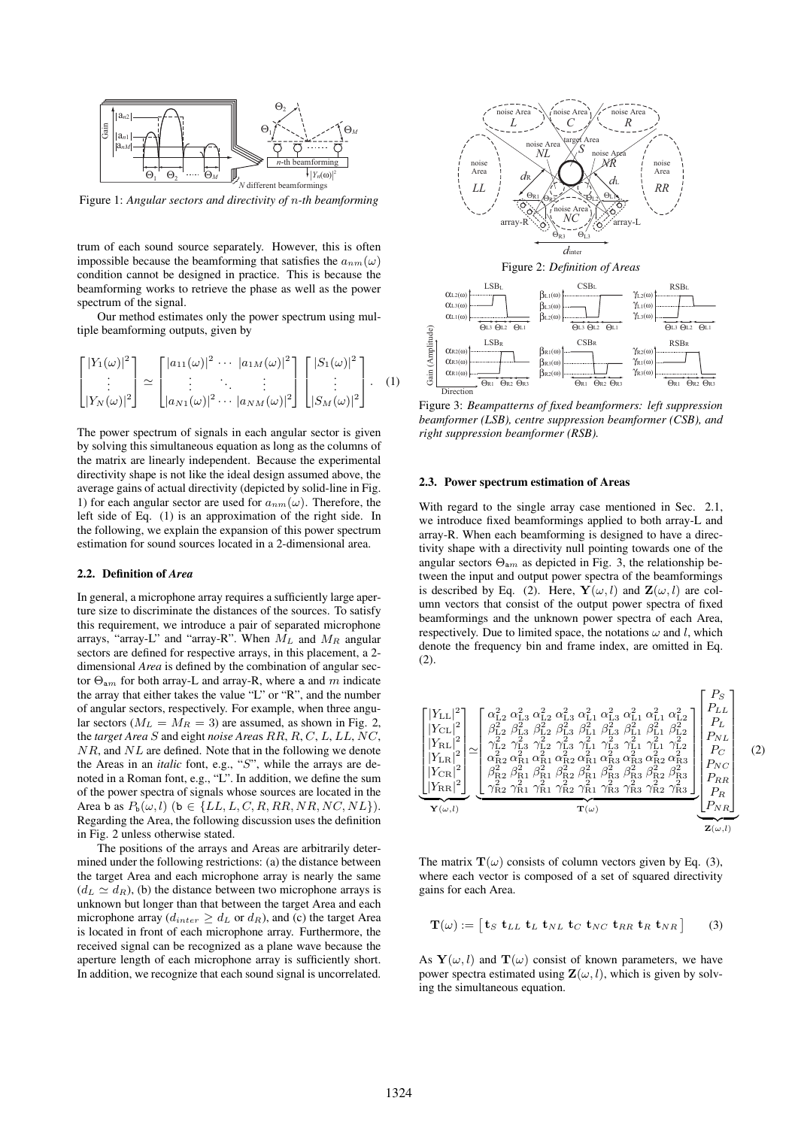

Figure 1: *Angular sectors and directivity of* n*-th beamforming*

trum of each sound source separately. However, this is often impossible because the beamforming that satisfies the  $a_{nm}(\omega)$ condition cannot be designed in practice. This is because the beamforming works to retrieve the phase as well as the power spectrum of the signal.

Our method estimates only the power spectrum using multiple beamforming outputs, given by

$$
\begin{bmatrix} |Y_1(\omega)|^2 \\ \vdots \\ |Y_N(\omega)|^2 \end{bmatrix} \simeq \begin{bmatrix} |a_{11}(\omega)|^2 & \cdots & |a_{1M}(\omega)|^2 \\ \vdots & \ddots & \vdots \\ |a_{N1}(\omega)|^2 & \cdots & |a_{NN}(\omega)|^2 \end{bmatrix} \begin{bmatrix} |S_1(\omega)|^2 \\ \vdots \\ |S_M(\omega)|^2 \end{bmatrix} . \quad (1)
$$

The power spectrum of signals in each angular sector is given by solving this simultaneous equation as long as the columns of the matrix are linearly independent. Because the experimental directivity shape is not like the ideal design assumed above, the average gains of actual directivity (depicted by solid-line in Fig. 1) for each angular sector are used for  $a_{nm}(\omega)$ . Therefore, the left side of Eq. (1) is an approximation of the right side. In the following, we explain the expansion of this power spectrum estimation for sound sources located in a 2-dimensional area.

#### 2.2. Definition of *Area*

In general, a microphone array requires a sufficiently large aperture size to discriminate the distances of the sources. To satisfy this requirement, we introduce a pair of separated microphone arrays, "array-L" and "array-R". When  $M_L$  and  $M_R$  angular sectors are defined for respective arrays, in this placement, a 2 dimensional *Area* is defined by the combination of angular sector  $\Theta_{am}$  for both array-L and array-R, where a and m indicate the array that either takes the value "L" or "R", and the number of angular sectors, respectively. For example, when three angular sectors ( $M_L = M_R = 3$ ) are assumed, as shown in Fig. 2, the *target Area* S and eight *noise Area*s RR, R, C, L, LL, NC,  $NR$ , and  $NL$  are defined. Note that in the following we denote the Areas in an *italic* font, e.g., "S", while the arrays are denoted in a Roman font, e.g., "L". In addition, we define the sum of the power spectra of signals whose sources are located in the Area b as  $P_b(\omega, l)$  (b  $\in \{LL, L, C, R, RR, NR, NC, NL\}$ ). Regarding the Area, the following discussion uses the definition in Fig. 2 unless otherwise stated.

The positions of the arrays and Areas are arbitrarily determined under the following restrictions: (a) the distance between the target Area and each microphone array is nearly the same  $(d_L \simeq d_R)$ , (b) the distance between two microphone arrays is unknown but longer than that between the target Area and each microphone array ( $d_{inter} \geq d_L$  or  $d_R$ ), and (c) the target Area is located in front of each microphone array. Furthermore, the received signal can be recognized as a plane wave because the aperture length of each microphone array is sufficiently short. In addition, we recognize that each sound signal is uncorrelated.



Figure 2: *Definition of Areas*



Figure 3: *Beampatterns of fixed beamformers: left suppression beamformer (LSB), centre suppression beamformer (CSB), and right suppression beamformer (RSB).*

#### 2.3. Power spectrum estimation of Areas

With regard to the single array case mentioned in Sec. 2.1, we introduce fixed beamformings applied to both array-L and array-R. When each beamforming is designed to have a directivity shape with a directivity null pointing towards one of the angular sectors  $\Theta_{am}$  as depicted in Fig. 3, the relationship between the input and output power spectra of the beamformings is described by Eq. (2). Here,  $\mathbf{Y}(\omega, l)$  and  $\mathbf{Z}(\omega, l)$  are column vectors that consist of the output power spectra of fixed beamformings and the unknown power spectra of each Area, respectively. Due to limited space, the notations  $\omega$  and l, which denote the frequency bin and frame index, are omitted in Eq. (2).



The matrix  $\mathbf{T}(\omega)$  consists of column vectors given by Eq. (3), where each vector is composed of a set of squared directivity gains for each Area.

$$
\mathbf{T}(\omega) := \begin{bmatrix} \mathbf{t}_S & \mathbf{t}_{LL} & \mathbf{t}_L & \mathbf{t}_{NL} & \mathbf{t}_C & \mathbf{t}_{NC} & \mathbf{t}_{RR} & \mathbf{t}_R & \mathbf{t}_{NR} \end{bmatrix} \tag{3}
$$

As  $Y(\omega, l)$  and  $T(\omega)$  consist of known parameters, we have power spectra estimated using  $\mathbf{Z}(\omega, l)$ , which is given by solving the simultaneous equation.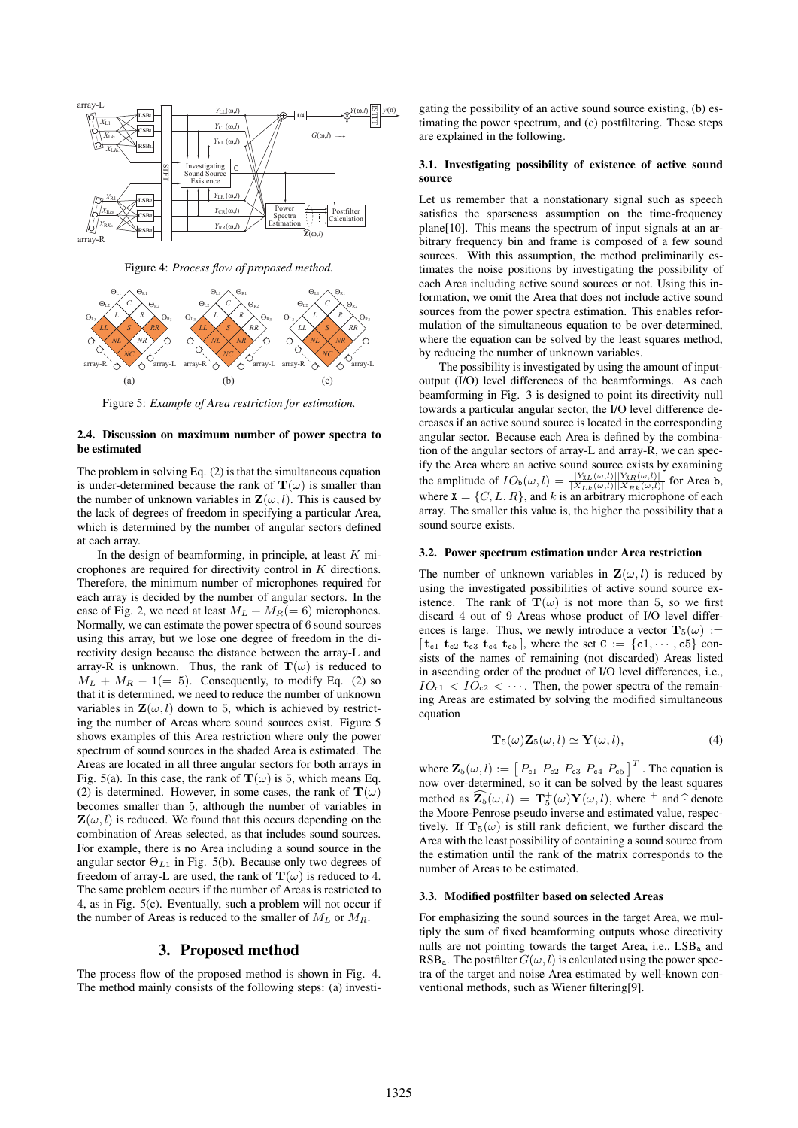

Figure 4: *Process flow of proposed method.*



Figure 5: *Example of Area restriction for estimation.*

#### 2.4. Discussion on maximum number of power spectra to be estimated

The problem in solving Eq. (2) is that the simultaneous equation is under-determined because the rank of  $\mathbf{T}(\omega)$  is smaller than the number of unknown variables in  $\mathbf{Z}(\omega, l)$ . This is caused by the lack of degrees of freedom in specifying a particular Area, which is determined by the number of angular sectors defined at each array.

In the design of beamforming, in principle, at least  $K$  microphones are required for directivity control in  $K$  directions. Therefore, the minimum number of microphones required for each array is decided by the number of angular sectors. In the case of Fig. 2, we need at least  $M_L + M_R (= 6)$  microphones. Normally, we can estimate the power spectra of 6 sound sources using this array, but we lose one degree of freedom in the directivity design because the distance between the array-L and array-R is unknown. Thus, the rank of  $\mathbf{T}(\omega)$  is reduced to  $M_L + M_R - 1 (= 5)$ . Consequently, to modify Eq. (2) so that it is determined, we need to reduce the number of unknown variables in  $\mathbf{Z}(\omega, l)$  down to 5, which is achieved by restricting the number of Areas where sound sources exist. Figure 5 shows examples of this Area restriction where only the power spectrum of sound sources in the shaded Area is estimated. The Areas are located in all three angular sectors for both arrays in Fig. 5(a). In this case, the rank of  $\mathbf{T}(\omega)$  is 5, which means Eq. (2) is determined. However, in some cases, the rank of  $\mathbf{T}(\omega)$ becomes smaller than 5, although the number of variables in  $\mathbf{Z}(\omega, l)$  is reduced. We found that this occurs depending on the combination of Areas selected, as that includes sound sources. For example, there is no Area including a sound source in the angular sector  $\Theta_{L1}$  in Fig. 5(b). Because only two degrees of freedom of array-L are used, the rank of  $\mathbf{T}(\omega)$  is reduced to 4. The same problem occurs if the number of Areas is restricted to 4, as in Fig. 5(c). Eventually, such a problem will not occur if the number of Areas is reduced to the smaller of  $M_L$  or  $M_R$ .

#### 3. Proposed method

The process flow of the proposed method is shown in Fig. 4. The method mainly consists of the following steps: (a) investi-

gating the possibility of an active sound source existing, (b) estimating the power spectrum, and (c) postfiltering. These steps are explained in the following.

#### 3.1. Investigating possibility of existence of active sound source

Let us remember that a nonstationary signal such as speech satisfies the sparseness assumption on the time-frequency plane[10]. This means the spectrum of input signals at an arbitrary frequency bin and frame is composed of a few sound sources. With this assumption, the method preliminarily estimates the noise positions by investigating the possibility of each Area including active sound sources or not. Using this information, we omit the Area that does not include active sound sources from the power spectra estimation. This enables reformulation of the simultaneous equation to be over-determined, where the equation can be solved by the least squares method, by reducing the number of unknown variables.

The possibility is investigated by using the amount of inputoutput (I/O) level differences of the beamformings. As each beamforming in Fig. 3 is designed to point its directivity null towards a particular angular sector, the I/O level difference decreases if an active sound source is located in the corresponding angular sector. Because each Area is defined by the combination of the angular sectors of array-L and array-R, we can specify the Area where an active sound source exists by examining the amplitude of  $IO_b(\omega, l) = \frac{|Y_{KL}(\omega, l)| |Y_{KR}(\omega, l)|}{|X_{LK}(\omega, l)| |X_{RK}(\omega, l)|}$  for Area b, where  $X = \{C, L, R\}$ , and k is an arbitrary microphone of each array. The smaller this value is, the higher the possibility that a sound source exists.

### 3.2. Power spectrum estimation under Area restriction

The number of unknown variables in  $\mathbf{Z}(\omega, l)$  is reduced by using the investigated possibilities of active sound source existence. The rank of  $\mathbf{T}(\omega)$  is not more than 5, so we first discard 4 out of 9 Areas whose product of I/O level differences is large. Thus, we newly introduce a vector  $\mathbf{T}_5(\omega) :=$  $[t_{c1} t_{c2} t_{c3} t_{c4} t_{c5}]$ , where the set  $C := \{c1, \dots, c5\}$  consists of the names of remaining (not discarded) Areas listed in ascending order of the product of I/O level differences, i.e.,  $IO_{c1} < IO_{c2} < \cdots$ . Then, the power spectra of the remaining Areas are estimated by solving the modified simultaneous equation

$$
\mathbf{T}_5(\omega)\mathbf{Z}_5(\omega,l)\simeq \mathbf{Y}(\omega,l),\tag{4}
$$

where  $\mathbf{Z}_5(\omega, l) := \left[ P_{c1} P_{c2} P_{c3} P_{c4} P_{c5} \right]^T$ . The equation is now over-determined, so it can be solved by the least squares method as  $\mathbf{Z}_5(\omega, l) = \mathbf{T}_5^+(\omega) \mathbf{Y}(\omega, l)$ , where  $+$  and  $\hat{\cdot}$  denote the Moore-Penrose pseudo inverse and estimated value, respectively. If  $\mathbf{T}_5(\omega)$  is still rank deficient, we further discard the Area with the least possibility of containing a sound source from the estimation until the rank of the matrix corresponds to the number of Areas to be estimated.

#### 3.3. Modified postfilter based on selected Areas

For emphasizing the sound sources in the target Area, we multiply the sum of fixed beamforming outputs whose directivity nulls are not pointing towards the target Area, i.e., LSB<sub>a</sub> and RSB<sub>a</sub>. The postfilter  $G(\omega, l)$  is calculated using the power spectra of the target and noise Area estimated by well-known conventional methods, such as Wiener filtering[9].